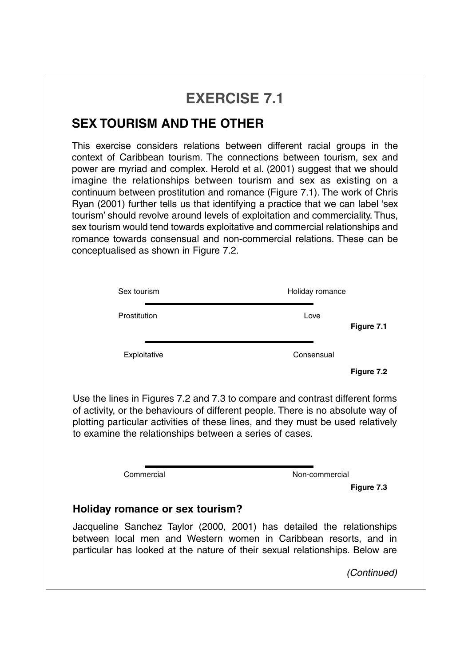## **EXERCISE 7.1**

## **SEX TOURISM AND THE OTHER**

This exercise considers relations between different racial groups in the context of Caribbean tourism. The connections between tourism, sex and power are myriad and complex. Herold et al. (2001) suggest that we should imagine the relationships between tourism and sex as existing on a continuum between prostitution and romance (Figure 7.1). The work of Chris Ryan (2001) further tells us that identifying a practice that we can label 'sex tourism' should revolve around levels of exploitation and commerciality. Thus, sex tourism would tend towards exploitative and commercial relationships and romance towards consensual and non-commercial relations. These can be conceptualised as shown in Figure 7.2.

| Sex tourism                                                                                                                                                                                                                                                                                                   | Holiday romance |            |
|---------------------------------------------------------------------------------------------------------------------------------------------------------------------------------------------------------------------------------------------------------------------------------------------------------------|-----------------|------------|
| Prostitution                                                                                                                                                                                                                                                                                                  | Love            | Figure 7.1 |
| Exploitative                                                                                                                                                                                                                                                                                                  | Consensual      |            |
|                                                                                                                                                                                                                                                                                                               |                 | Figure 7.2 |
| Use the lines in Figures 7.2 and 7.3 to compare and contrast different forms<br>of activity, or the behaviours of different people. There is no absolute way of<br>plotting particular activities of these lines, and they must be used relatively<br>to examine the relationships between a series of cases. |                 |            |
| Commercial                                                                                                                                                                                                                                                                                                    | Non-commercial  |            |
|                                                                                                                                                                                                                                                                                                               |                 | Figure 7.3 |
| Holiday romance or sex tourism?                                                                                                                                                                                                                                                                               |                 |            |
| leagualing Canabes Taylor (0000, 0001) has detailed the relationships                                                                                                                                                                                                                                         |                 |            |

Jacqueline Sanchez Taylor (2000, 2001) has detailed the relationships between local men and Western women in Caribbean resorts, and in particular has looked at the nature of their sexual relationships. Below are

*(Continued)*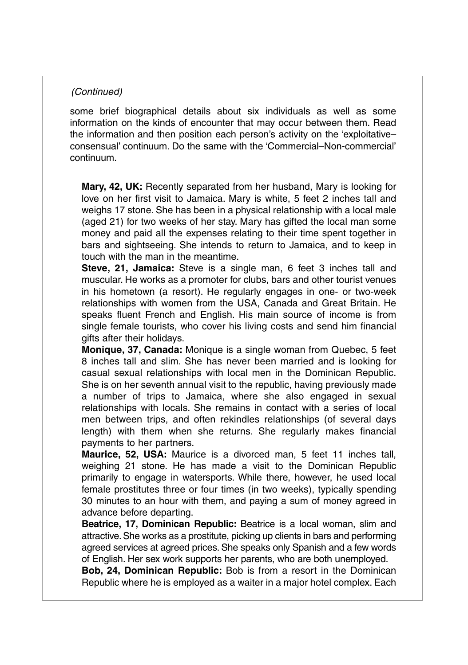## *(Continued)*

some brief biographical details about six individuals as well as some information on the kinds of encounter that may occur between them. Read the information and then position each person's activity on the 'exploitative– consensual' continuum. Do the same with the 'Commercial–Non-commercial' continuum.

**Mary, 42, UK:** Recently separated from her husband, Mary is looking for love on her first visit to Jamaica. Mary is white, 5 feet 2 inches tall and weighs 17 stone. She has been in a physical relationship with a local male (aged 21) for two weeks of her stay. Mary has gifted the local man some money and paid all the expenses relating to their time spent together in bars and sightseeing. She intends to return to Jamaica, and to keep in touch with the man in the meantime.

**Steve, 21, Jamaica:** Steve is a single man, 6 feet 3 inches tall and muscular. He works as a promoter for clubs, bars and other tourist venues in his hometown (a resort). He regularly engages in one- or two-week relationships with women from the USA, Canada and Great Britain. He speaks fluent French and English. His main source of income is from single female tourists, who cover his living costs and send him financial gifts after their holidays.

**Monique, 37, Canada:** Monique is a single woman from Quebec, 5 feet 8 inches tall and slim. She has never been married and is looking for casual sexual relationships with local men in the Dominican Republic. She is on her seventh annual visit to the republic, having previously made a number of trips to Jamaica, where she also engaged in sexual relationships with locals. She remains in contact with a series of local men between trips, and often rekindles relationships (of several days length) with them when she returns. She regularly makes financial payments to her partners.

**Maurice, 52, USA:** Maurice is a divorced man, 5 feet 11 inches tall, weighing 21 stone. He has made a visit to the Dominican Republic primarily to engage in watersports. While there, however, he used local female prostitutes three or four times (in two weeks), typically spending 30 minutes to an hour with them, and paying a sum of money agreed in advance before departing.

**Beatrice, 17, Dominican Republic:** Beatrice is a local woman, slim and attractive.She works as a prostitute, picking up clients in bars and performing agreed services at agreed prices. She speaks only Spanish and a few words of English. Her sex work supports her parents, who are both unemployed.

**Bob, 24, Dominican Republic:** Bob is from a resort in the Dominican Republic where he is employed as a waiter in a major hotel complex. Each